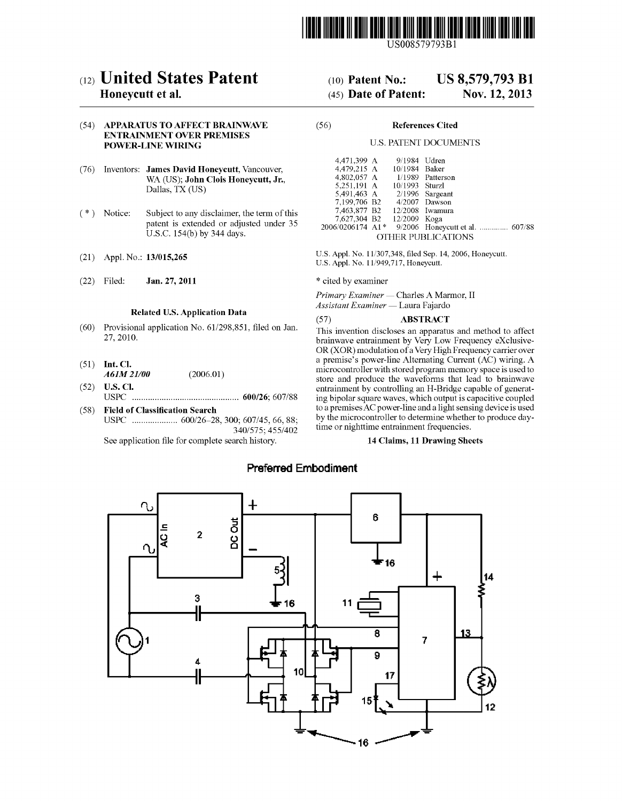

US008579793B1

# (12) United States Patent

# Honeycutt et al.

# (54) APPARATUS TO AFFECT BRAINWAVE ENTRAINMENT OVER PREMISES POWER-LINE WIRING

- (76) Inventors: James David Honeycutt, Vancouver, WA (US); John Clois Honeycutt, Jr., Dallas, TX (US)
- (\*) Notice: Subject to any disclaimer, the term of this patent is extended or adjusted under 35 U.S.C. 154(b) by 344 days.
- (21) Appl. No.: 13/015,265
- (22) Jan. 27, 2011

# Related U.S. Application Data

- (60) Provisional application No. 61/298,851, filed on Jan. 27, 2010.
- $(51)$  Int. Cl. A61M 21/00 (2006.01)
- $(52)$  **U.S. Cl.** USPC ............................................... 600/26; 607/88
- (58) Field of Classification Search USPC .................... 600/26-28, 300; 607/45, 66,88: 340/575; 455/402

See application file for complete search history.

#### US 8,579,793 B1 (10) Patent No.:

#### Nov. 12, 2013 (45) Date of Patent:

# (56) References Cited

# U.S. PATENT DOCUMENTS

| 4.471.399 A                 |  | 9/1984 Udren   |                                 |  |  |  |  |
|-----------------------------|--|----------------|---------------------------------|--|--|--|--|
| 4,479,215 A                 |  | 10/1984 Baker  |                                 |  |  |  |  |
| 4,802,057 A                 |  |                | 1/1989 Patterson                |  |  |  |  |
| 5,251,191 A                 |  | 10/1993 Sturzl |                                 |  |  |  |  |
| 5,491,463 A 2/1996 Sargeant |  |                |                                 |  |  |  |  |
| 7,199,706 B2                |  |                | $4/2007$ Dawson                 |  |  |  |  |
| 7,463,877 B2                |  |                | $12/2008$ Iwamura               |  |  |  |  |
| 7,627,304 B2 12/2009 Koga   |  |                |                                 |  |  |  |  |
| 2006/0206174 A1*            |  |                | 9/2006 Honeycutt et al.  607/88 |  |  |  |  |
| OTHER PUBLICATIONS          |  |                |                                 |  |  |  |  |

U.S. Appl. No. 1 1/307,348, filed Sep. 14, 2006, Honeycutt. U.S. Appl. No. 1 1/949,717, Honeycutt.

\* cited by examiner

Primary Examiner — Charles A Marmor, II Assistant Examiner — Laura Fajardo

# (57) ABSTRACT

This invention discloses an apparatus and method to affect brainwave entrainment by Very Low Frequency exclusive OR (XOR) modulation of a Very High Frequency carrier over a premise's power-line Alternating Current (AC) wiring. A microcontroller with stored program memory space is used to store and produce the waveforms that lead to brainwave entrainment by controlling an H-Bridge capable of generating bipolar square waves, which output is capacitive coupled to a premises AC power-line and a light sensing device is used<br>by the microcontroller to determine whether to produce daytime or nighttime entrainment frequencies.

# 14 Claims, 11 Drawing Sheets

# Preferred Embodiment

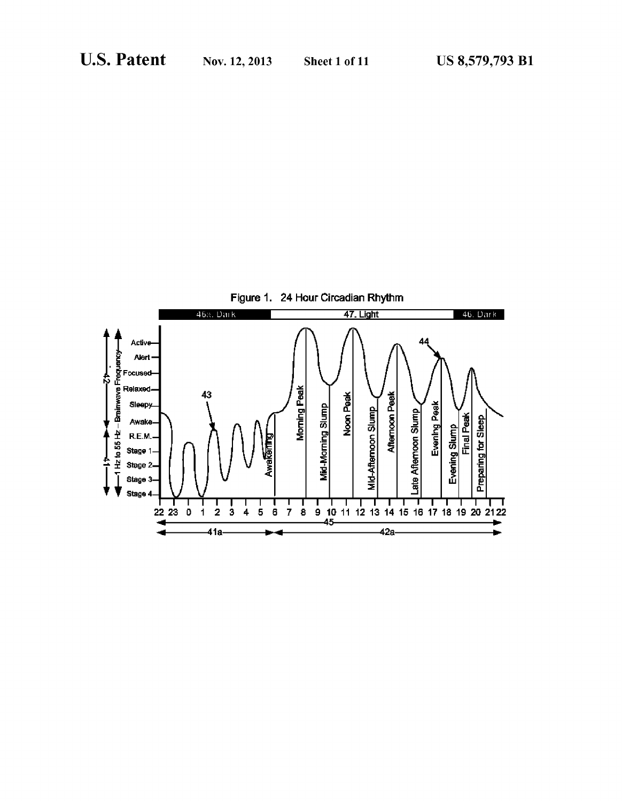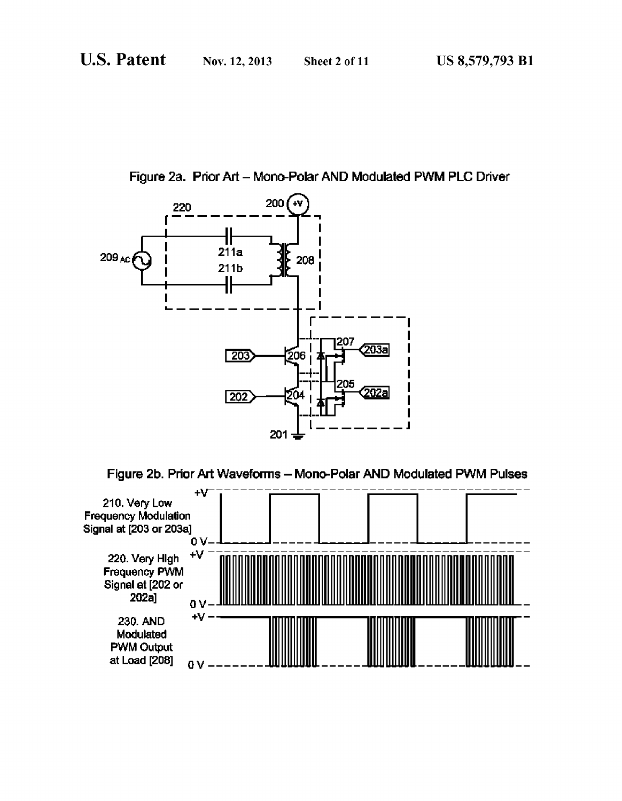Figure 2a. Prior Art - Mono-Polar AND Modulated PWM PLC Driver



Figure 2b. Prior Art Waveforms-Mono-Polar AND Modulated PWM Pulses

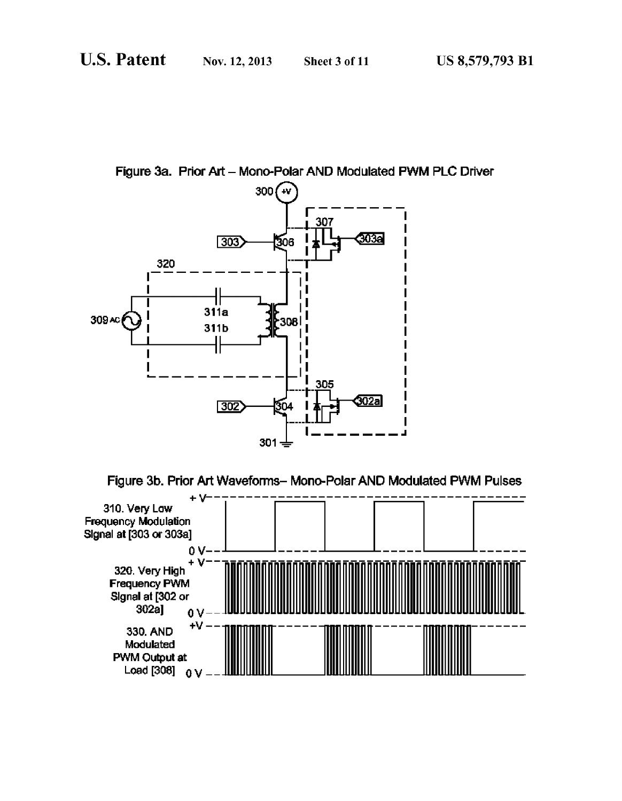Figure 3a. Prior Art - Mono-Polar AND Modulated PWM PLC Driver



Figure 3b. Prior Art Waveforms-Mono-Polar AND Modulated PWM Pulses

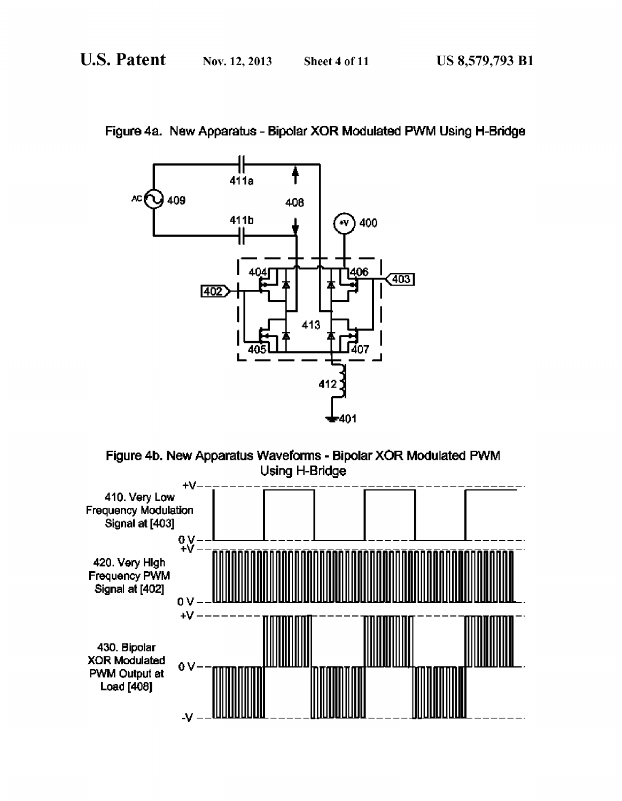

Figure 4a. New Apparatus - Bipolar XOR Modulated PWM Using H-Bridge



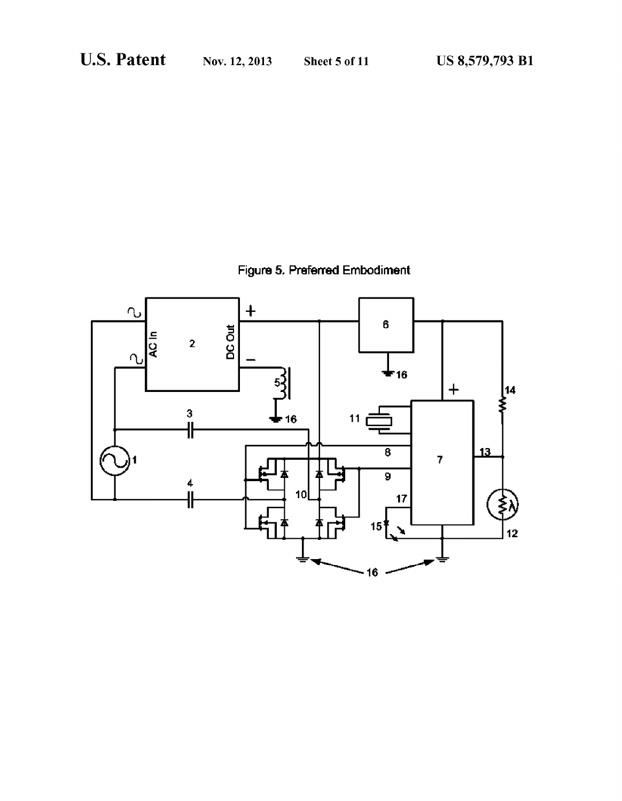Figure 5. Preferred Embodiment

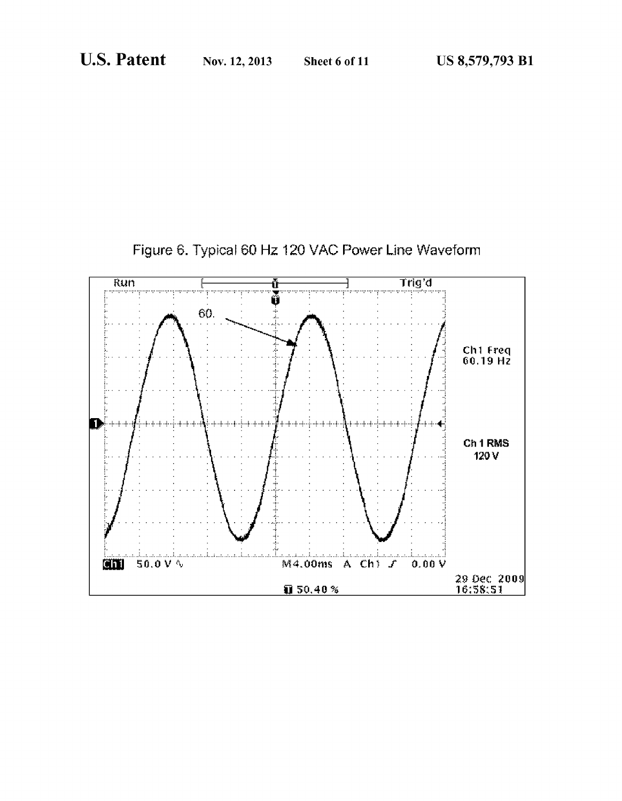

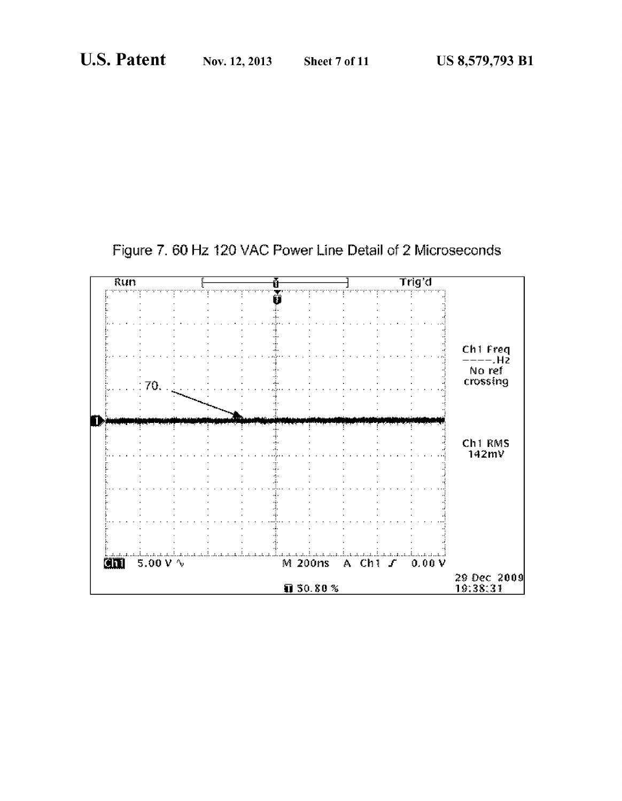![](_page_7_Figure_4.jpeg)

![](_page_7_Figure_5.jpeg)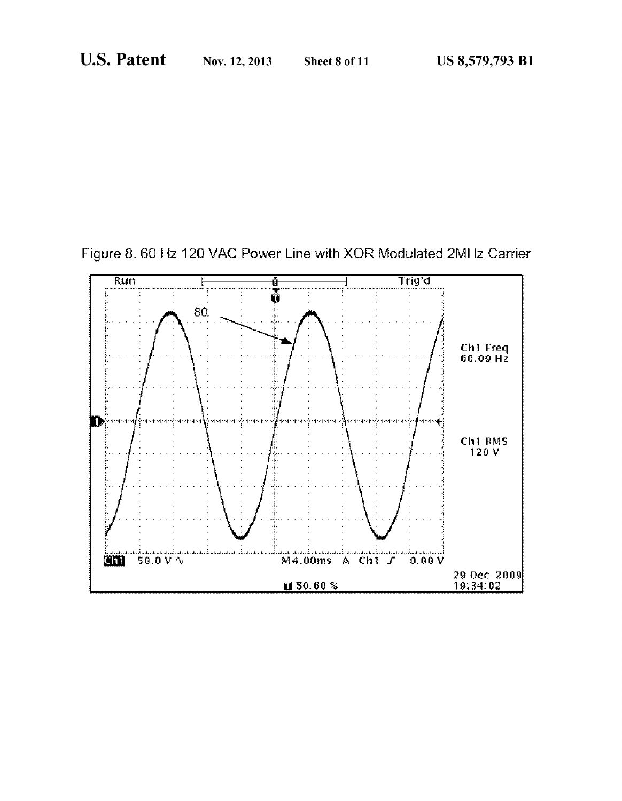![](_page_8_Figure_4.jpeg)

![](_page_8_Figure_5.jpeg)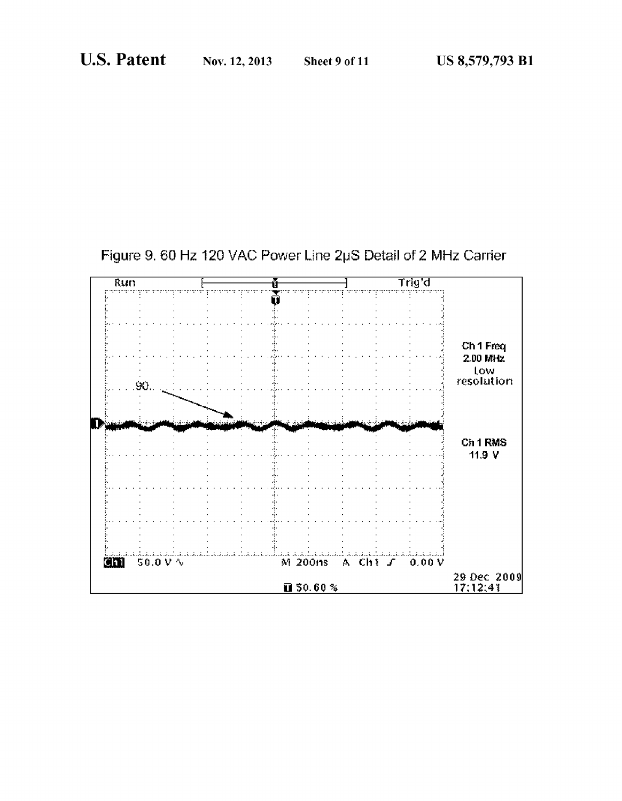![](_page_9_Figure_4.jpeg)

![](_page_9_Figure_5.jpeg)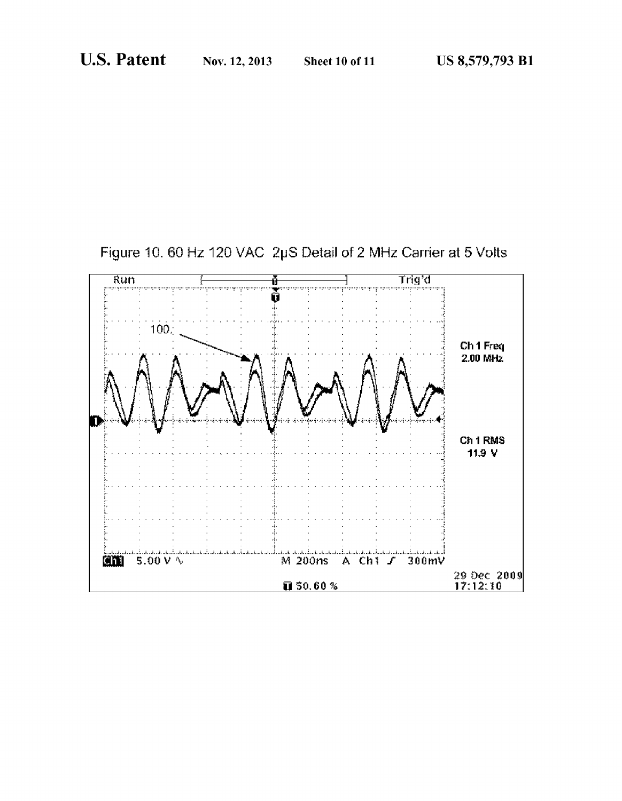![](_page_10_Figure_4.jpeg)

![](_page_10_Figure_5.jpeg)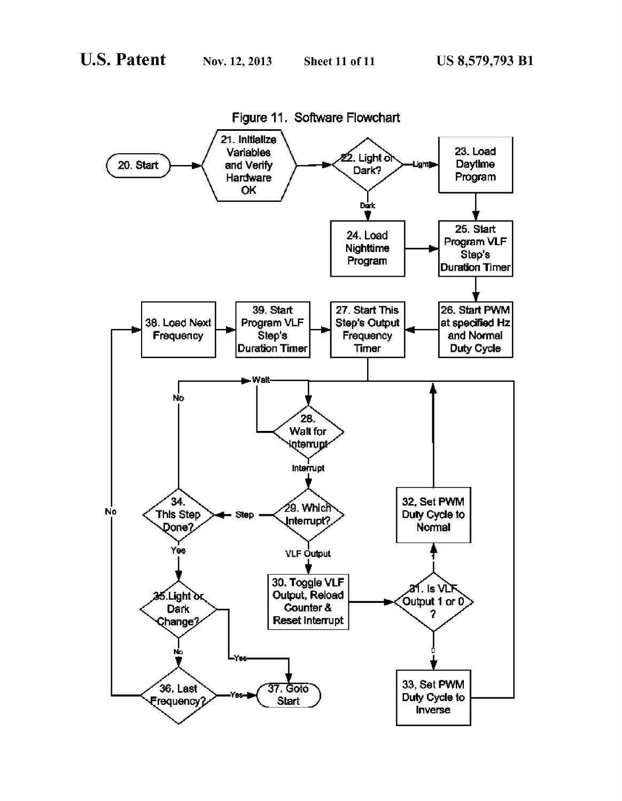![](_page_11_Figure_4.jpeg)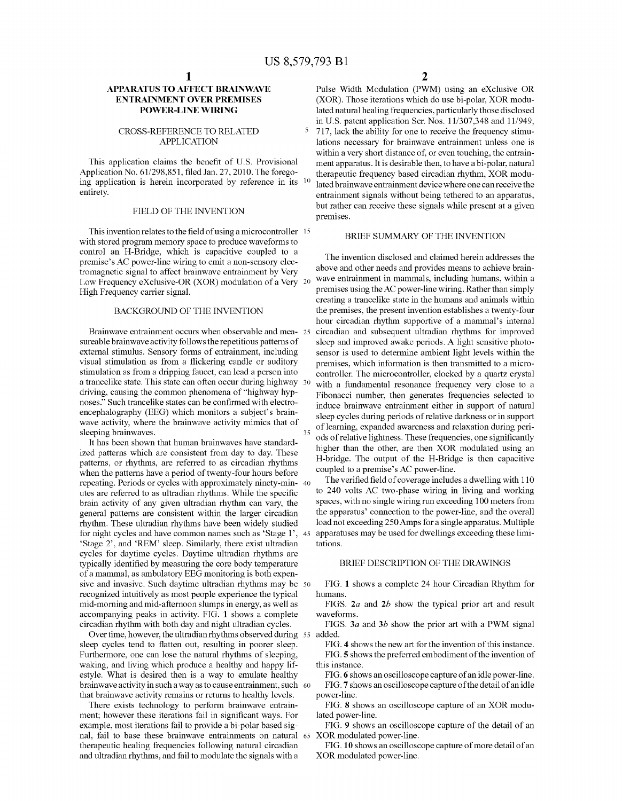# APPARATUS TO AFFECT BRAINWAVE ENTRAINMENT OVER PREMISES POWER-LINE WIRING

# CROSS-REFERENCE TO RELATED APPLICATION

This application claims the benefit of U.S. Provisional Application No. 61/298,851, filed Jan. 27, 2010. The forego-Application No.  $61/298,851$ , filed Jan.  $27, 2010$ . The forego-ing application is herein incorporated by reference in its  $10$ entirety.

# FIELD OF THE INVENTION

This invention relates to the field of using a microcontroller  $\sim 15$ with stored program memory space to produce waveforms to control an H-Bridge, which is capacitive coupled to a premise's AC power-line wiring to emit a non-sensory elec tromagnetic signal to affect brainwave entrainment by Very Low Frequency eXclusive-OR (XOR) modulation of a Very 20 High Frequency carrier signal.

# BACKGROUND OF THE INVENTION

Brainwave entrainment occurs when observable and mea- 25 sureable brainwave activity follows the repetitious patterns of external stimulus. Sensory forms of entrainment, including visual stimulation as from a flickering candle or auditory stimulation as from a dripping faucet, can lead a person into driving, causing the common phenomena of "highway hypnoses." Such trancelike states can be confirmed with electro encephalography (EEG) which monitors a subject's brainwave activity, where the brainwave activity mimics that of sleeping brainwaves. a trancelike state. This state can often occur during highway 30 35

It has been shown that human brainwaves have standard ized patterns which are consistent from day to day. These patterns, or rhythms, are referred to as circadian rhythms when the patterns have a period of twenty-four hours before repeating. Periods or cycles with approximately minety-min- 40 utes are referred to as ultradian rhythms. While the specific brain activity of any given ultradian rhythm can vary, the general patterns are consistent within the larger circadian rhythm. These ultradian rhythms have been widely studied for might cycles and have common names such as 'Stage 1', 45 'Stage 2', and 'REM' sleep. Similarly, there exist ultradian cycles for daytime cycles. Daytime ultradian rhythms are typically identified by measuring the core body temperature of a mammal, as ambulatory EEG monitoring is both expen sive and invasive. Such daytime ultradian rhythms may be 50 recognized intuitively as most people experience the typical mid-morning and mid-afternoon slumps in energy, as well as accompanying peaks in activity. FIG. 1 shows a complete circadian rhythm with both day and night ultradian cycles.

sleep cycles tend to flatten out, resulting in poorer sleep.<br>Furthermore, one can lose the natural rhythms of sleeping, waking, and living which produce a healthy and happy lifestyle. What is desired then is a way to emulate healthy brainwave activity in Such away as to cause entrainment, Such 60 that brainwave activity remains or returns to healthy levels. Over time, however, the ultradian rhythms observed during 55

There exists technology to perform brainwave entrain ment; however these iterations fail in significant ways. For example, most iterations fail to provide a bi-polar based sig nal, fail to base these brainwave entrainments on natural 65 therapeutic healing frequencies following natural circadian and ultradian rhythms, and fail to modulate the signals with a

Pulse Width Modulation (PWM) using an eXclusive OR (XOR). Those iterations which do use bi-polar, XOR modu lated natural healing frequencies, particularly those disclosed in U.S. patent application Ser. Nos. 11/307,348 and 11/949, 717, lack the ability for one to receive the frequency stimu lations necessary for brainwave entrainment unless one is within a very short distance of, or even touching, the entrainment apparatus. It is desirable then, to have a bi-polar, natural therapeutic frequency based circadian rhythm, XOR modu lated brainwave entrainment device where one can receive the entrainment signals without being tethered to an apparatus, but rather can receive these signals while present at a given premises.

# BRIEF SUMMARY OF THE INVENTION

The invention disclosed and claimed herein addresses the above and other needs and provides means to achieve brain wave entrainment in mammals, including humans, within a premises using the AC power-line wiring. Rather than simply creating a trancelike state in the humans and animals within the premises, the present invention establishes a twenty-four hour circadian rhythm supportive of a mammal's internal circadian and Subsequent ultradian rhythms for improved sleep and improved awake periods. A light sensitive photo sensor is used to determine ambient light levels within the premises, which information is then transmitted to a micro controller. The microcontroller, clocked by a quartz crystal with a fundamental resonance frequency very close to a Fibonacci number, then generates frequencies selected to induce brainwave entrainment either in support of natural sleep cycles during periods of relative darkness or in support of learning, expanded awareness and relaxation during peri ods of relative lightness. These frequencies, one significantly higher than the other, are then XOR modulated using an H-bridge. The output of the H-Bridge is then capacitive coupled to a premise's AC power-line.

The verified field of coverage includes a dwelling with 110 to 240 Volts AC two-phase wiring in living and working spaces, with no single wiring run exceeding 100 meters from the apparatus' connection to the power-line, and the overall load not exceeding 250 Amps for a single apparatus. Multiple apparatuses may be used for dwellings exceeding these limi tations.

# BRIEF DESCRIPTION OF THE DRAWINGS

FIG. 1 shows a complete 24 hour Circadian Rhythm for humans.

FIGS. 2a and 2b show the typical prior art and result waveforms.

FIGS. 3a and 3b show the prior art with a PWM signal added.

FIG. 4 shows the new art for the invention of this instance. FIG. 5 shows the preferred embodiment of the invention of this instance.

FIG. 6 shows an oscilloscope capture of an idle power-line. FIG.7 shows an oscilloscope capture of the detail of an idle power-line.

FIG. 8 shows an oscilloscope capture of an XOR modu lated power-line.

FIG. 9 shows an oscilloscope capture of the detail of an XOR modulated power-line.

FIG. 10 shows an oscilloscope capture of more detail of an XOR modulated power-line.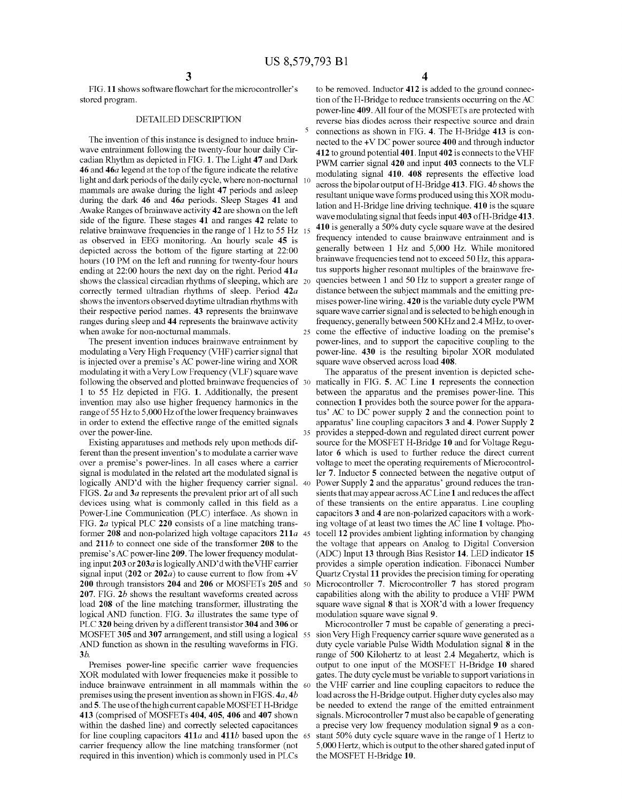35

FIG.11 shows software flowchart for the microcontroller's stored program.

# DETAILED DESCRIPTION

The invention of this instance is designed to induce brain wave entrainment following the twenty-four hour daily Cir cadian Rhythm as depicted in FIG.1. The Light 47 and Dark 46 and 46a legend at the top of the figure indicate the relative light and dark periods of the daily cycle, where non-nocturnal 10 mammals are awake during the light 47 periods and asleep during the dark 46 and 46a periods. Sleep Stages 41 and Awake Ranges of brainwave activity 42 are shown on the left side of the figure. These stages 41 and ranges 42 relate to relative brainwave frequencies in the range of 1 Hz to 55 Hz 15 as observed in EEG monitoring. An hourly scale 45 is depicted across the bottom of the figure starting at 22:00 hours (10 PM on the left and running for twenty-four hours ending at 22:00 hours the next day on the right. Period 41a shows the classical circadian rhythms of sleeping, which are 20 correctly termed ultradian rhythms of sleep. Period 42a shows the inventors observed daytime ultradian rhythms with their respective period names. 43 represents the brainwave ranges during sleep and 44 represents the brainwave activity when awake for non-nocturnal mammals.

The present invention induces brainwave entrainment by modulating a Very High Frequency (VHF) carrier signal that is injected over a premise's AC power-line wiring and XOR modulating it with a Very Low Frequency (VLF) square wave following the observed and plotted brainwave frequencies of 30 1 to 55 Hz depicted in FIG. 1. Additionally, the present invention may also use higher frequency harmonics in the range of 55 Hz to 5,000 Hz of the lower frequency brainwaves in order to extend the effective range of the emitted signals over the power-line.

Existing apparatuses and methods rely upon methods dif ferent than the present invention's to modulate a carrier wave over a premise's power-lines. In all cases where a carrier signal is modulated in the related art the modulated signal is logically AND'd with the higher frequency carrier signal. 40 FIGS. 2*a* and 3*a* represents the prevalent prior art of all such devices using what is commonly called in this field as a Power-Line Communication (PLC) interface. As shown in FIG. 2a typical PLC 220 consists of a line matching trans former 208 and non-polarized high voltage capacitors 211a 45 and  $211b$  to connect one side of the transformer 208 to the premise's AC power-line 209. The lower frequency modulat ing input 203 or 203a is logically AND'd with the VHF carrier signal input (202 or 202*a*) to cause current to flow from  $+V$ 200 through transistors 204 and 206 or MOSFETs 205 and 50 207. FIG. 2b shows the resultant waveforms created across load 208 of the line matching transformer, illustrating the logical AND function. FIG. 3a illustrates the same type of PLC320 being driven by a different transistor 304 and 306 or MOSFET 305 and 307 arrangement, and still using a logical 55 AND function as shown in the resulting waveforms in FIG. 3b.

Premises power-line specific carrier wave frequencies XOR modulated with lower frequencies make it possible to induce brainwave entrainment in all mammals within the 60 premises using the present invention as shown in FIGS. 4a, 4b and 5. The use of the high current capable MOSFET H-Bridge 413 (comprised of MOSFETs 404, 405, 406 and 407 shown within the dashed line) and correctly selected capacitances for line coupling capacitors 411*a* and 411*b* based upon the 65 carrier frequency allow the line matching transformer (not required in this invention) which is commonly used in PLCs

4

25 come the effective of inductive loading on the premise's to be removed. Inductor 412 is added to the ground connec tion of the H-Bridge to reduce transients occurring on the AC power-line 409. All four of the MOSFETs are protected with reverse bias diodes across their respective source and drain connections as shown in FIG. 4. The H-Bridge 413 is con nected to the +V DC power source 400 and through inductor 412 to ground potential 401. Input 402 is connects to the VHF PWM carrier signal 420 and input 403 connects to the VLF modulating signal 410. 408 represents the effective load across the bipolar output of H-Bridge 413. FIG. 4b shows the resultant unique wave forms produced using this XOR modu lation and H-Bridge line driving technique. 410 is the square wave modulating signal that feeds input 403 of H-Bridge 413. 410 is generally a 50% duty cycle square wave at the desired frequency intended to cause brainwave entrainment and is generally between 1 Hz and 5,000 Hz. While monitored brainwave frequencies tend not to exceed 50 Hz, this appara tus supports higher resonant multiples of the brainwave frequencies between 1 and 50 Hz to support a greater range of distance between the subject mammals and the emitting premises power-line wiring. 420 is the variable duty cycle PWM square wave carrier signal and is selected to be high enough in frequency, generally between 500 KHZ and 2.4 MHz, to over power-lines, and to support the capacitive coupling to the power-line. 430 is the resulting bipolar XOR modulated square wave observed across load 408.

The apparatus of the present invention is depicted sche matically in FIG. 5. AC Line 1 represents the connection between the apparatus and the premises power-line. This connection 1 provides both the source power for the appara tus' AC to DC power supply 2 and the connection point to apparatus' line coupling capacitors 3 and 4. Power Supply 2 provides a stepped-down and regulated direct current power source for the MOSFET H-Bridge 10 and for Voltage Regu lator 6 which is used to further reduce the direct current voltage to meet the operating requirements of Microcontroller 7. Inductor 5 connected between the negative output of Power Supply 2 and the apparatus' ground reduces the transients that may appear across AC Line 1 and reduces the affect of these transients on the entire apparatus. Line coupling capacitors 3 and 4 are non-polarized capacitors with a working voltage of at least two times the AC line 1 voltage. Pho tocell 12 provides ambient lighting information by changing the Voltage that appears on Analog to Digital Conversion (ADC) Input 13 through Bias Resistor 14. LED indicator 15 provides a simple operation indication. Fibonacci Number Quartz Crystal 11 provides the precision timing for operating Microcontroller 7. Microcontroller 7 has stored program capabilities along with the ability to produce a VHF PWM square wave signal 8 that is XOR'd with a lower frequency

modulation square wave signal 9.<br>Microcontroller 7 must be capable of generating a precision Very High Frequency carrier square wave generated as a duty cycle variable Pulse Width Modulation signal 8 in the range of 500 Kilohertz to at least 2.4 Megahertz, which is output to one input of the MOSFET H-Bridge 10 shared gates. The duty cycle must be variable to Support variations in the VHF carrier and line coupling capacitors to reduce the load across the H-Bridge output. Higher duty cycles also may be needed to extend the range of the emitted entrainment signals. Microcontroller 7 must also be capable of generating a precise very low frequency modulation signal 9 as a con stant 50% duty cycle square wave in the range of 1 Hertz to 5,000 Hertz, which is output to the other shared gated input of the MOSFET H-Bridge 10.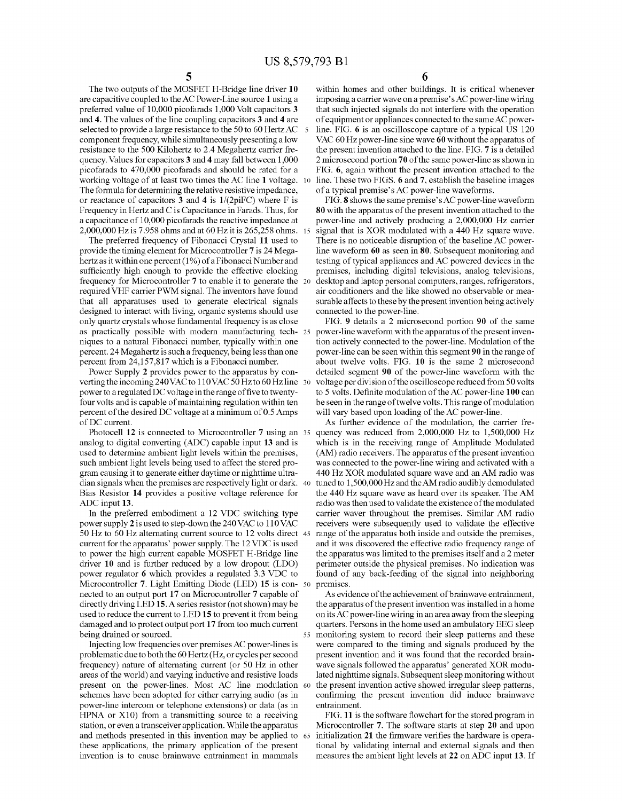The two outputs of the MOSFET H-Bridge line driver 10 are capacitive coupled to the AC Power-Line source 1 using a preferred value of 10,000 picofarads 1,000 Volt capacitors 3 and 4. The values of the line coupling capacitors 3 and 4 are selected to provide a large resistance to the 50 to 60 Hertz AC component frequency, while simultaneously presenting a low resistance to the 500 Kilohertz to 2.4 Megahertz carrier fre quency. Values for capacitors 3 and 4 may fall between 1,000 picofarads to 470,000 picofarads and should be rated for a working voltage of at least two times the AC line 1 voltage. The formula for determining the relative resistive impedance, or reactance of capacitors 3 and 4 is  $1/(2pi)F$ ) where F is Frequency in Hertz and C is Capacitance in Farads. Thus, for a capacitance of 10,000 picofarads the reactive impedance at  $2,000,000$  Hz is 7.958 ohms and at 60 Hz it is 265,258 ohms. 15 10

The preferred frequency of Fibonacci Crystal 11 used to provide the timing element for Microcontroller 7 is 24 Mega hertz as it within one percent (1%) of a Fibonacci Number and sufficiently high enough to provide the effective clocking frequency for Microcontroller 7 to enable it to generate the required VHF carrier PWM signal. The inventors have found that all apparatuses used to generate electrical signals designed to interact with living, organic systems should use only quartz crystals whose fundamental frequency is as close as practically possible with modern manufacturing tech 25 niques to a natural Fibonacci number, typically within one percent. 24 Megahertz is such a frequency, being less than one percent from 24,157,817 which is a Fibonacci number.

Power Supply 2 provides power to the apparatus by con verting the incoming 240VAC to 110VAC 50Hz to 60Hz line 30 power to a regulated DC voltage in the range of five to twentyfour volts and is capable of maintaining regulation within ten percent of the desired DC voltage at a minimum of 0.5 Amps of DC current.

Photocell 12 is connected to Microcontroller *I* using an 35 analog to digital converting (ADC) capable input 13 and is used to determine ambient light levels within the premises, such ambient light levels being used to affect the stored pro gram causing it to generate either daytime or nighttime ultra dian signals when the premises are respectively light or dark. 40 Bias Resistor 14 provides a positive voltage reference for ADC input 13.

In the preferred embodiment a 12 VDC switching type power supply 2 is used to step-down the 240VAC to 110VAC 50 Hz to 60 Hz alternating current source to 12 volts direct 45 current for the apparatus' power supply. The 12 VDC is used to power the high current capable MOSFET H-Bridge line driver 10 and is further reduced by a low dropout (LDO) power regulator 6 which provides a regulated 3.3 VDC to Microcontroller 7. Light Emitting Diode (LED) 15 is con-50 nected to an output port 17 on Microcontroller 7 capable of directly driving LED 15. A series resistor (not shown) may be used to reduce the current to LED 15 to prevent it from being damaged and to protect output port 17 from too much current being drained or sourced.

Injecting low frequencies over premises AC power-lines is problematic due to both the 60 Hertz (Hz, orcycles per second frequency) nature of alternating current (or 50 Hz in other areas of the world) and varying inductive and resistive loads present on the power-lines. Most AC line modulation 60 schemes have been adopted for either carrying audio (as in power-line intercom or telephone extensions) or data (as in HPNA or X10) from a transmitting source to a receiving station, or even a transceiver application. While the apparatus and methods presented in this invention may be applied to 65 these applications, the primary application of the present invention is to cause brainwave entrainment in mammals

6

within homes and other buildings. It is critical whenever imposing a carrier wave on a premise's AC power-line wiring that Such injected signals do not interfere with the operation of equipment or appliances connected to the same AC power line. FIG. 6 is an oscilloscope capture of a typical US 120 VAC 60Hz power-line sine wave 60 without the apparatus of the present invention attached to the line. FIG. 7 is a detailed 2 microsecond portion 70 of the same power-line as shown in FIG. 6, again without the present invention attached to the line. These two FIGS. 6 and 7, establish the baseline images of a typical premise's AC power-line waveforms.

FIG. 8 shows the same premise's AC power-line waveform 80 with the apparatus of the present invention attached to the power-line and actively producing a 2,000,000 Hz carrier signal that is XOR modulated with a 440 Hz square wave.<br>There is no noticeable disruption of the baseline AC powerline waveform 60 as seen in 80. Subsequent monitoring and testing of typical appliances and AC powered devices in the premises, including digital televisions, analog televisions, desktop and laptop personal computers, ranges, refrigerators, air conditioners and the like showed no observable or mea surable affects to these by the present invention being actively connected to the power-line.

FIG. 9 details a 2 microsecond portion 90 of the same power-line waveform with the apparatus of the present inven tion actively connected to the power-line. Modulation of the power-line can be seen within this segment 90 in the range of about twelve volts. FIG. 10 is the same 2 microsecond detailed segment 90 of the power-line waveform with the voltage per division of the oscilloscope reduced from 50 volts to 5 volts. Definite modulation of the AC power-line 100 can be seen in the range of twelve volts. This range of modulation will vary based upon loading of the AC power-line.

As further evidence of the modulation, the carrier fre quency was reduced from 2,000,000 Hz to 1,500,000 Hz which is in the receiving range of Amplitude Modulated (AM) radio receivers. The apparatus of the present invention was connected to the power-line wiring and activated with a 440 Hz XOR modulated square wave and an AM radio was tuned to 1,500,000Hz and the AM radio audibly demodulated the 440 Hz square wave as heard over its speaker. The AM radio was then used to validate the existence of the modulated carrier waver throughout the premises. Similar AM radio receivers were subsequently used to validate the effective range of the apparatus both inside and outside the premises, and it was discovered the effective radio frequency range of the apparatus was limited to the premises itself and a 2 meter perimeter outside the physical premises. No indication was found of any back-feeding of the signal into neighboring premises.

quarters. Persons in the home used an ambulatory EEG sleep<br>55 monitoring system to record their sleep patterns and these As evidence of the achievement of brainwave entrainment, the apparatus of the present invention was installed in a home on its AC power-line wiring in an area away from the sleeping quarters. Persons in the home used an ambulatory EEG sleep were compared to the timing and signals produced by the present invention and it was found that the recorded brain wave signals followed the apparatus' generated XOR modulated nighttime signals. Subsequent sleep monitoring without the present invention active showed irregular sleep patterns, confirming the present invention did induce brainwave entrainment.

FIG. 11 is the software flowchart for the stored program in Microcontroller 7. The software starts at step 20 and upon initialization 21 the firmware verifies the hardware is operational by validating internal and external signals and then measures the ambient light levels at 22 on ADC input 13. If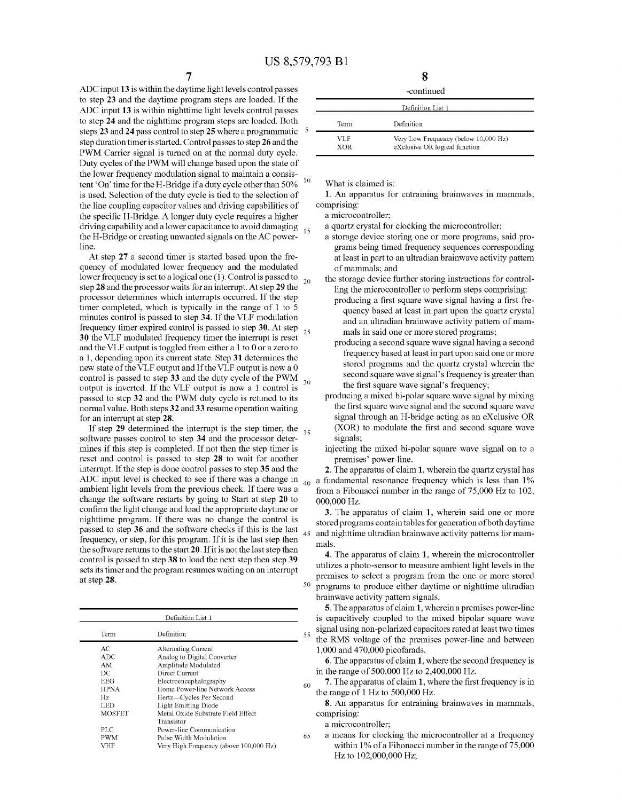15

ADC input 13 is within the daytime light levels control passes to step 23 and the daytime program steps are loaded. If the ADC input 13 is within nighttime light levels control passes to step 24 and the nighttime program steps are loaded. Both steps 23 and 24 pass control to step 25 where a programmatic step duration timer is started. Control passes to step 26 and the PWM Carrier signal is turned on at the normal duty cycle. Duty cycles of the PWM will change based upon the state of the lower frequency modulation signal to maintain a consis tent 'On' time for the H-Bridge if a duty cycle other than 50% is used. Selection of the duty cycle is tied to the selection of the line coupling capacitor values and driving capabilities of the specific H-Bridge. A longer duty cycle requires a higher driving capability and a lower capacitance to avoid damaging the H-Bridge or creating unwanted signals on the AC power line. 10

At step 27 a second timer is started based upon the fre quency of modulated lower frequency and the modulated lower frequency is set to a logical one (1). Control is passed to 20 step 28 and the processor waits for an interrupt. At step 29 the processor determines which interrupts occurred. If the step timer completed, which is typically in the range of  $1$  to  $5$ minutes control is passed to step 34. If the VLF modulation frequency timer expired control is passed to step 30. At step 25 30 the VLF modulated frequency timer the interrupt is reset and the VLF output is toggled from either a 1 to 0 or a zero to a 1, depending upon its current state. Step 31 determines the new state of the VLF output and If the VLF output is now a 0 control is passed to step 33 and the duty cycle of the PWM  $_{30}$ output is inverted. If the VLF output is now a 1 control is passed to step 32 and the PWM duty cycle is retuned to its normal value. Both steps 32 and 33 resume operation waiting for an interrupt at step 28.

If step 29 determined the interrupt is the step timer, the  $35<sup>o</sup>$ software passes control to step 34 and the processor determines if this step is completed. If not then the step timer is reset and control is passed to step 28 to wait for another interrupt. If the step is done control passes to step 35 and the ADC input level is checked to see if there was a change in ambient light levels from the previous check. If there was a change the software restarts by going to Start at step 20 to confirm the light change and load the appropriate daytime or nighttime program. If there was no change the control is passed to step 36 and the software checks if this is the last frequency, or step, for this program. If it is the last step then the software returns to the start 20. If it is not the last step then control is passed to step 38 to load the next step then step 39 sets its timer and the program resumes waiting on an interrupt at step 28. 50

| Definition List 1 |                                        |  |  |  |
|-------------------|----------------------------------------|--|--|--|
| Term              | Definition                             |  |  |  |
| AC                | Alternating Current                    |  |  |  |
| ADC.              | Analog to Digital Converter            |  |  |  |
| AM                | Amplitude Modulated                    |  |  |  |
| DС                | Direct Current                         |  |  |  |
| EEG               | Electroencephalography                 |  |  |  |
| <b>HPNA</b>       | Home Power-line Network Access         |  |  |  |
| Hz.               | Hertz—Cycles Per Second                |  |  |  |
| LED               | Light Emitting Diode                   |  |  |  |
| <b>MOSFET</b>     | Metal Oxide Substrate Field Effect     |  |  |  |
|                   | Transistor                             |  |  |  |
| PLC               | Power-line Communication               |  |  |  |
| PWM               | Pulse Width Modulation                 |  |  |  |
| VHF               | Very High Frequency (above 100,000 Hz) |  |  |  |

|  | I        |  |  |
|--|----------|--|--|
|  |          |  |  |
|  | ۰.<br>۰, |  |  |

| -continued |
|------------|
|------------|

| .                 |                                                                       |  |  |  |
|-------------------|-----------------------------------------------------------------------|--|--|--|
| Definition List 1 |                                                                       |  |  |  |
| Term              | Definition                                                            |  |  |  |
| VLF<br><b>XOR</b> | Very Low Frequency (below 10,000 Hz)<br>eXclusive OR logical function |  |  |  |

What is claimed is:

1. An apparatus for entraining brainwaves in mammals, comprising:

a microcontroller,

a quartz crystal for clocking the microcontroller,

- a storage device storing one or more programs, said pro grams being timed frequency sequences corresponding at least in part to an ultradian brainwave activity pattern of mammals; and
- the storage device further storing instructions for control ling the microcontroller to perform steps comprising:
	- producing a first square wave signal having a first fre quency based at least in part upon the quartz crystal and an ultradian brainwave activity pattern of mam-<br>mals in said one or more stored programs;
	- producing a second square wave signal having a second frequency based at least in part upon said one or more stored programs and the quartz crystal wherein the second square wave signal's frequency is greater than the first square wave signal's frequency;
- producing a mixed bi-polar square wave signal by mixing the first square wave signal and the second square wave signal through an H-bridge acting as an eXclusive OR (XOR) to modulate the first and second square wave signals:
- injecting the mixed bi-polar square wave signal on to a premises' power-line.

40 a fundamental resonance frequency which is less than 1% 2. The apparatus of claim 1, wherein the quartz crystal has from a Fibonacci number in the range of 75,000 Hz to 102, 000,000 Hz.

45 and nighttime ultradian brainwave activity patterns for mam 3. The apparatus of claim 1, wherein said one or more stored programs contain tables for generation of both daytime mals.

4. The apparatus of claim 1, wherein the microcontroller utilizes a photo-sensor to measure ambient light levels in the premises to select a program from the one or more stored programs to produce either daytime or nighttime ultradian brainwave activity pattern signals.

5. The apparatus of claim 1, wherein a premises power-line is capacitively coupled to the mixed bipolar square wave signal using non-polarized capacitors rated at least two times the RMS voltage of the premises power-line and between 1,000 and 470,000 picofarads.

6. The apparatus of claim 1, where the second frequency is in the range of 500,000 Hz to 2,400,000 Hz.

7. The apparatus of claim 1, where the first frequency is in the range of 1 Hz to 500,000 Hz.

8. An apparatus for entraining brainwaves in mammals, comprising:

a microcontroller,

55

60

65 a means for clocking the microcontroller at a frequency within 1% of a Fibonacci number in the range of 75,000 HZ to 102,000,000 Hz: